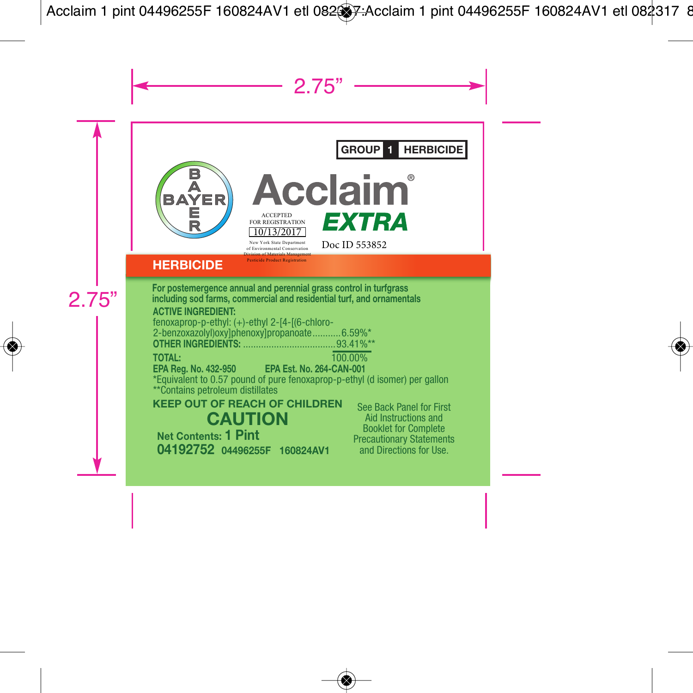# **GROUP 1 HERBICIDE**



**Acclaim EXTRA** ACCEPTED FOR REGISTRATION 10/13/2017

# Doc ID 553852

# **HERBICIDE**

**KEEP OUT OF REACH OF CHILDREN CAUTION Net Contents: 1 Pint 04192752 04496255F 160824AV1 For postemergence annual and perennial grass control in turfgrass including sod farms, commercial and residential turf, and ornamentals ACTIVE INGREDIENT:** fenoxaprop-p-ethyl: (+)-ethyl 2-[4-[(6-chloro-2-benzoxazolyl)oxy]phenoxy]propanoate.............6.59%\*<br>OTHER INGREDIENTS: 93.41%\* **OTHER INGREDIENTS: TOTAL:** 100.00% **EPA Reg. No. 432-950 EPA Est. No. 264-CAN-001** \*Equivalent to 0.57 pound of pure fenoxaprop-p-ethyl (d isomer) per gallon \*\*Contains petroleum distillates See Back Panel for First Aid Instructions and Booklet for Complete Precautionary Statements and Directions for Use.

New York State Departm  $-$ <sup>c</sup> Environmental Conservation Division of Materials Management Pesticide Product Registration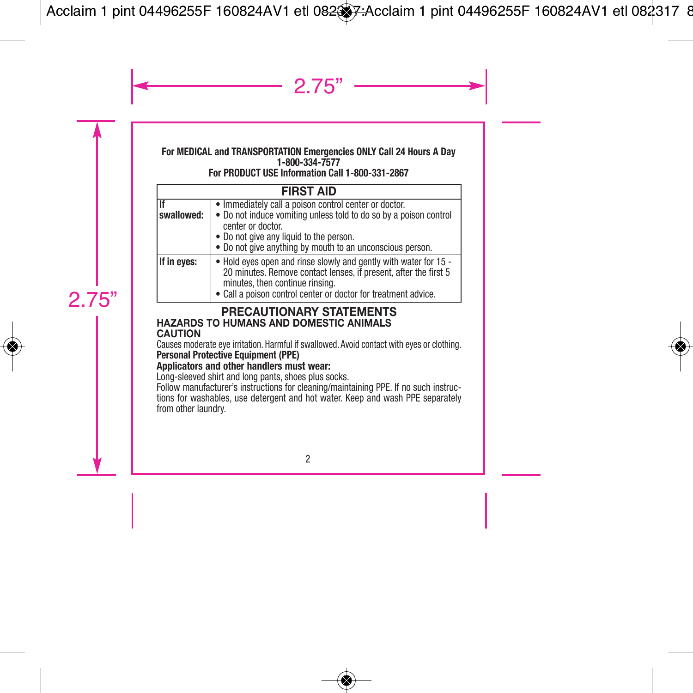#### **For MEDICAL and TRANSPORTATION Emergencies ONLY Call 24 Hours A Day 1-800-334-7577**

## **For PRODUCT USE Information Call 1-800-331-2867**

|                  | <b>FIRST AID</b>                                                                                                                                                                                                                                        |
|------------------|---------------------------------------------------------------------------------------------------------------------------------------------------------------------------------------------------------------------------------------------------------|
| Πf<br>swallowed: | · Immediately call a poison control center or doctor.<br>. Do not induce vomiting unless told to do so by a poison control<br>center or doctor.<br>• Do not give any liquid to the person.<br>• Do not give anything by mouth to an unconscious person. |
| If in eyes:      | . Hold eyes open and rinse slowly and gently with water for 15 -<br>20 minutes. Remove contact lenses, if present, after the first 5<br>minutes, then continue rinsing.<br>• Call a poison control center or doctor for treatment advice.               |

#### 2.75" **PRECAUTIONARY STATEMENTS HAZARDS TO HUMANS AND DOMESTIC ANIMALS CAUTION**

Causes moderate eye irritation. Harmful if swallowed. Avoid contact with eyes or clothing. **Personal Protective Equipment (PPE)**

## **Applicators and other handlers must wear:**

Long-sleeved shirt and long pants, shoes plus socks.

Follow manufacturer's instructions for cleaning/maintaining PPE. If no such instructions for washables, use detergent and hot water. Keep and wash PPE separately from other laundry.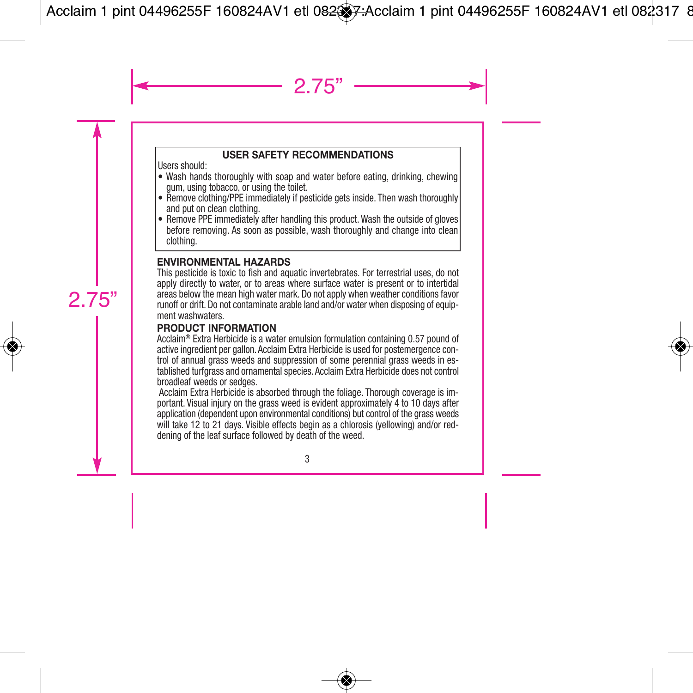# **USER SAFETY RECOMMENDATIONS**

Users should:

- Wash hands thoroughly with soap and water before eating, drinking, chewing gum, using tobacco, or using the toilet.
- Remove clothing/PPE immediately if pesticide gets inside. Then wash thoroughly and put on clean clothing.
- Remove PPE immediately after handling this product. Wash the outside of gloves before removing. As soon as possible, wash thoroughly and change into clean clothing.

# **ENVIRONMENTAL HAZARDS**

This pesticide is toxic to fish and aquatic invertebrates. For terrestrial uses, do not apply directly to water, or to areas where surface water is present or to intertidal areas below the mean high water mark. Do not apply when weather conditions favor runoff or drift. Do not contaminate arable land and/or water when disposing of equipment washwaters.

## **PRODUCT INFORMATION**

Acclaim® Extra Herbicide is a water emulsion formulation containing 0.57 pound of active ingredient per gallon. Acclaim Extra Herbicide is used for postemergence control of annual grass weeds and suppression of some perennial grass weeds in established turfgrass and ornamental species. Acclaim Extra Herbicide does not control broadleaf weeds or sedges.

Acclaim Extra Herbicide is absorbed through the foliage. Thorough coverage is important. Visual injury on the grass weed is evident approximately 4 to 10 days after application (dependent upon environmental conditions) but control of the grass weeds will take 12 to 21 days. Visible effects begin as a chlorosis (yellowing) and/or reddening of the leaf surface followed by death of the weed.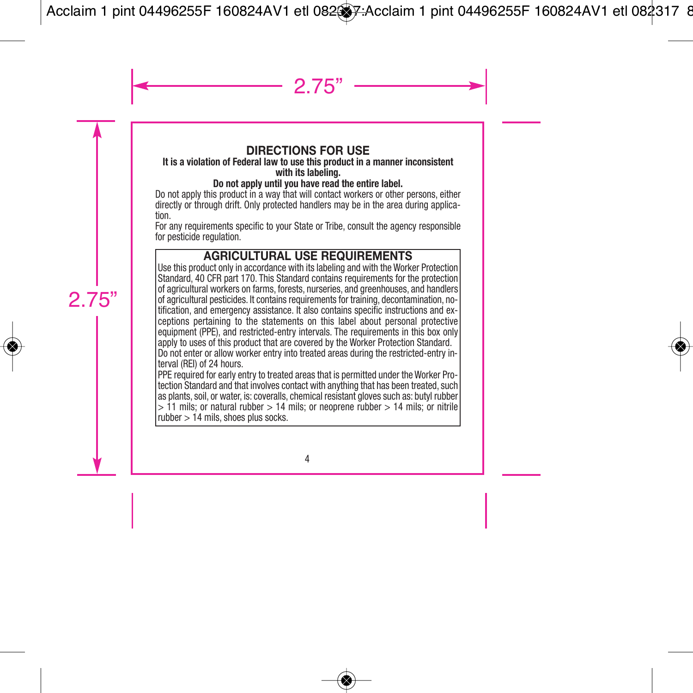# **DIRECTIONS FOR USE**

#### **It is a violation of Federal law to use this product in a manner inconsistent with its labeling.**

#### **Do not apply until you have read the entire label.**

Do not apply this product in a way that will contact workers or other persons, either directly or through drift. Only protected handlers may be in the area during applica tion.

For any requirements specific to your State or Tribe, consult the agency responsible for pesticide regulation.

# **AGRICULTURAL USE REQUIREMENTS**

Use this product only in accordance with its labeling and with the Worker Protection Standard, 40 CFR part 170. This Standard contains requirements for the protection of agricultural workers on farms, forests, nurseries, and greenhouses, and handlers of agricultural pesticides. It contains requirements for training, decontamination, no tification, and emergency assistance. It also contains specific instructions and ex ceptions pertaining to the statements on this label about personal protective equipment (PPE), and restricted-entry intervals. The requirements in this box only apply to uses of this product that are covered by the Worker Protection Standard. Do not enter or allow worker entry into treated areas during the restricted-entry interval (REI) of 24 hours.

PPE required for early entry to treated areas that is permitted under the Worker Protection Standard and that involves contact with anything that has been treated, such as plants, soil, or water, is: coveralls, chemical resistant gloves such as: butyl rubber  $> 11$  mils; or natural rubber  $> 14$  mils; or neoprene rubber  $> 14$  mils; or nitrile  $rubber > 14$  mils, shoes plus socks.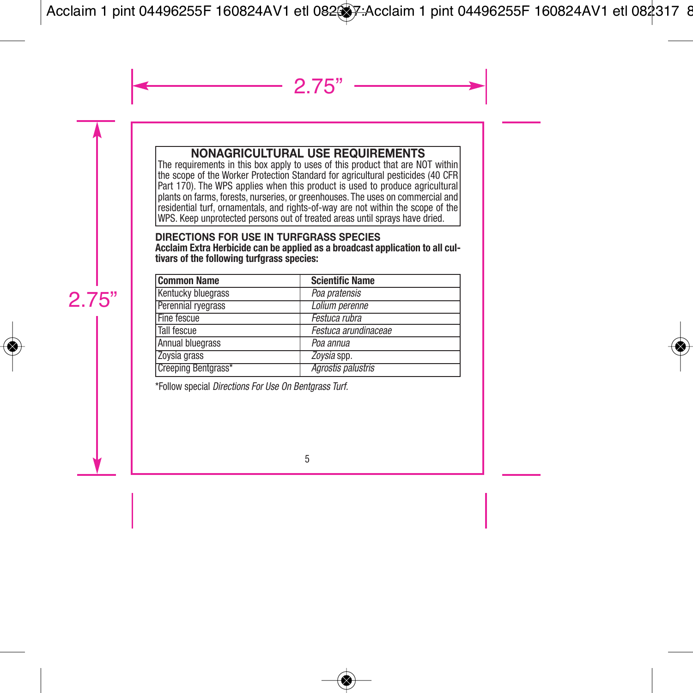# **NONAGRICULTURAL USE REQUIREMENTS**

The requirements in this box apply to uses of this product that are NOT within the scope of the Worker Protection Standard for agricultural pesticides (40 CFR Part 170). The WPS applies when this product is used to produce agricultural plants on farms, forests, nurseries, or greenhouses. The uses on commercial and residential turf, ornamentals, and rights-of-way are not within the scope of the WPS. Keep unprotected persons out of treated areas until sprays have dried.

#### **DIRECTIONS FOR USE IN TURFGRASS SPECIES**

**Acclaim Extra Herbicide can be applied as a broadcast application to all cultivars of the following turfgrass species:**

| <b>Common Name</b>  | <b>Scientific Name</b> |
|---------------------|------------------------|
| Kentucky bluegrass  | Poa pratensis          |
| Perennial ryegrass  | Lolium perenne         |
| Fine fescue         | Festuca rubra          |
| Tall fescue         | Festuca arundinaceae   |
| Annual bluegrass    | Poa annua              |
| Zoysia grass        | Zoysia spp.            |
| Creeping Bentgrass* | Agrostis palustris     |

\*Follow special *Directions For Use On Bentgrass Turf.*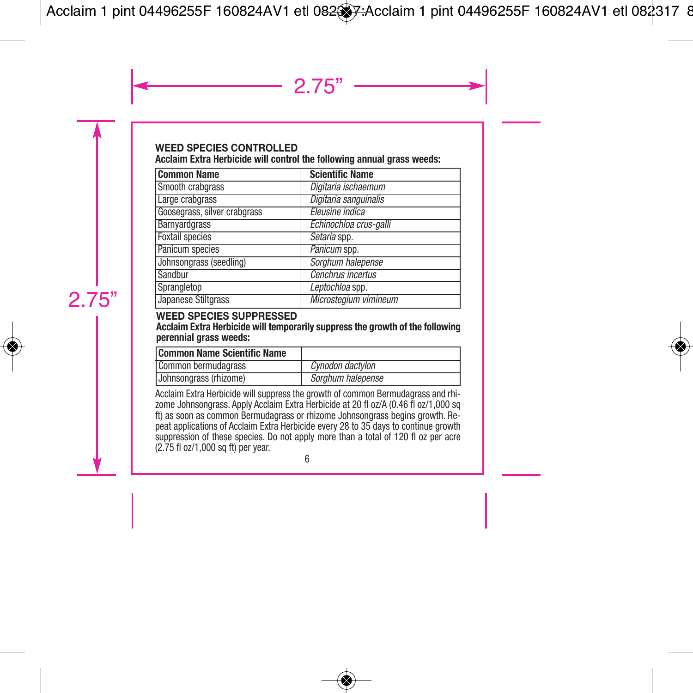#### **WEED SPECIES CONTROLLED Acclaim Extra Herbicide will control the following annual grass weeds:**

| <b>Common Name</b>           | <b>Scientific Name</b> |
|------------------------------|------------------------|
| Smooth crabgrass             | Digitaria ischaemum    |
| Large crabgrass              | Digitaria sanguinalis  |
| Goosegrass, silver crabgrass | Eleusine indica        |
| Barnyardgrass                | Echinochloa crus-galli |
| <b>Foxtail species</b>       | Setaria spp.           |
| Panicum species              | Panicum spp.           |
| Johnsongrass (seedling)      | Sorghum halepense      |
| Sandbur                      | Cenchrus incertus      |
| Sprangletop                  | Leptochloa spp.        |
| Japanese Stiltgrass          | Microstegium vimineum  |

#### **WEED SPECIES SUPPRESSED**

#### **Acclaim Extra Herbicide will temporarily suppress the growth of the following perennial grass weeds:**

| Common Name Scientific Name |                   |
|-----------------------------|-------------------|
| Common bermudagrass         | Cynodon dactylon  |
| Johnsongrass (rhizome)      | Sorghum halepense |

Acclaim Extra Herbicide will suppress the growth of common Bermudagrass and rhizome Johnsongrass. Apply Acclaim Extra Herbicide at 20 fl oz/A (0.46 fl oz/1,000 sq ft) as soon as common Bermudagrass or rhizome Johnsongrass begins growth. Repeat applications of Acclaim Extra Herbicide every 28 to 35 days to continue growth suppression of these species. Do not apply more than a total of 120 fl oz per acre (2.75 fl oz/1,000 sq ft) per year.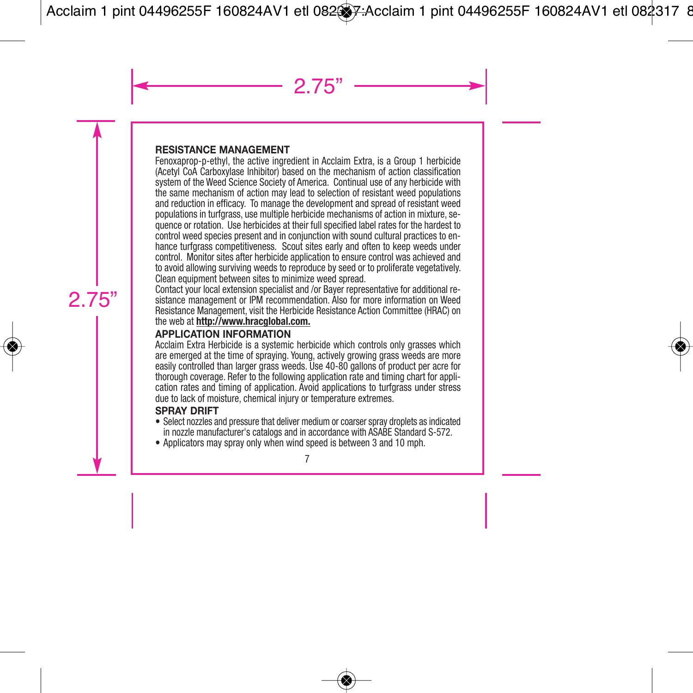## **RESISTANCE MANAGEMENT**

Fenoxaprop-p-ethyl, the active ingredient in Acclaim Extra, is a Group 1 herbicide (Acetyl CoA Carboxylase Inhibitor) based on the mechanism of action classification system of the Weed Science Society of America. Continual use of any herbicide with the same mechanism of action may lead to selection of resistant weed populations and reduction in efficacy. To manage the development and spread of resistant weed populations in turfgrass, use multiple herbicide mechanisms of action in mixture, sequence or rotation. Use herbicides at their full specified label rates for the hardest to control weed species present and in conjunction with sound cultural practices to enhance turfgrass competitiveness. Scout sites early and often to keep weeds under control. Monitor sites after herbicide application to ensure control was achieved and to avoid allowing surviving weeds to reproduce by seed or to proliferate vegetatively. Clean equipment between sites to minimize weed spread.

Contact your local extension specialist and /or Bayer representative for additional resistance management or IPM recommendation. Also for more information on Weed Resistance Management, visit the Herbicide Resistance Action Committee (HRAC) on the web at **http://www.hracglobal.com.**

## **APPLICATION INFORMATION**

Acclaim Extra Herbicide is a systemic herbicide which controls only grasses which are emerged at the time of spraying. Young, actively growing grass weeds are more easily controlled than larger grass weeds. Use 40-80 gallons of product per acre for thorough coverage. Refer to the following application rate and timing chart for application rates and timing of application. Avoid applications to turfgrass under stress due to lack of moisture, chemical injury or temperature extremes.

## **SPRAY DRIFT**

- Select nozzles and pressure that deliver medium or coarser spray droplets as indicated in nozzle manufacturer's catalogs and in accordance with ASABE Standard S-572.
- Applicators may spray only when wind speed is between 3 and 10 mph.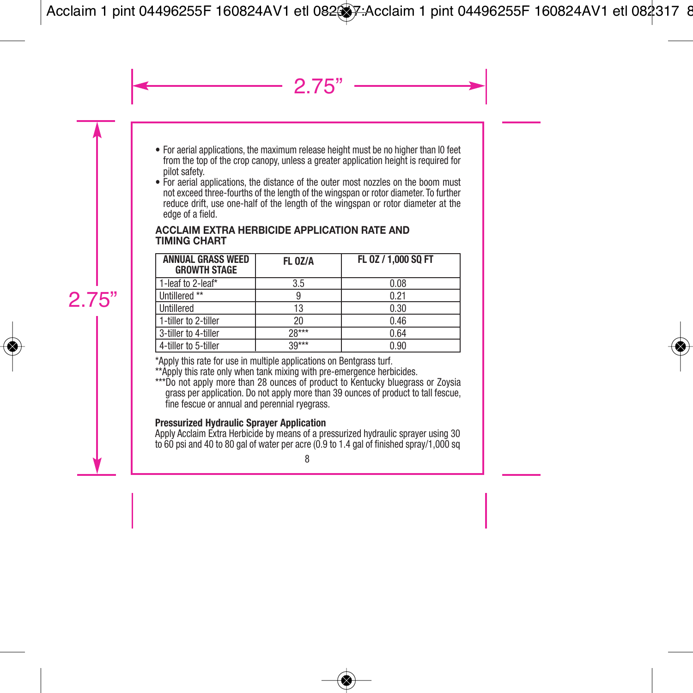- For aerial applications, the maximum release height must be no higher than I0 feet from the top of the crop canopy, unless a greater application height is required for pilot safety.
- For aerial applications, the distance of the outer most nozzles on the boom must not exceed three-fourths of the length of the wingspan or rotor diameter. To further reduce drift, use one-half of the length of the wingspan or rotor diameter at the edge of a field.

#### **ACCLAIM EXTRA HERBICIDE APPLICATION RATE AND TIMING CHART**

| <b>ANNUAL GRASS WEED</b><br><b>GROWTH STAGE</b> | FL 0Z/A | FL 0Z / 1,000 SQ FT |
|-------------------------------------------------|---------|---------------------|
| 1-leaf to 2-leaf*                               | 3.5     | 0.08                |
| Untillered **                                   |         | 0.21                |
| Untillered                                      | 13      | 0.30                |
| 1-tiller to 2-tiller                            | 20      | 0.46                |
| 3-tiller to 4-tiller                            | $28***$ | 0.64                |
| 4-tiller to 5-tiller                            | $39***$ | 0.90                |

\*Apply this rate for use in multiple applications on Bentgrass turf.

\*\*Apply this rate only when tank mixing with pre-emergence herbicides.

\*\*\*Do not apply more than 28 ounces of product to Kentucky bluegrass or Zoysia grass per application. Do not apply more than 39 ounces of product to tall fescue, fine fescue or annual and perennial ryegrass.

#### **Pressurized Hydraulic Sprayer Application**

Apply Acclaim Extra Herbicide by means of a pressurized hydraulic sprayer using 30 to 60 psi and 40 to 80 gal of water per acre (0.9 to 1.4 gal of finished spray/1,000 sq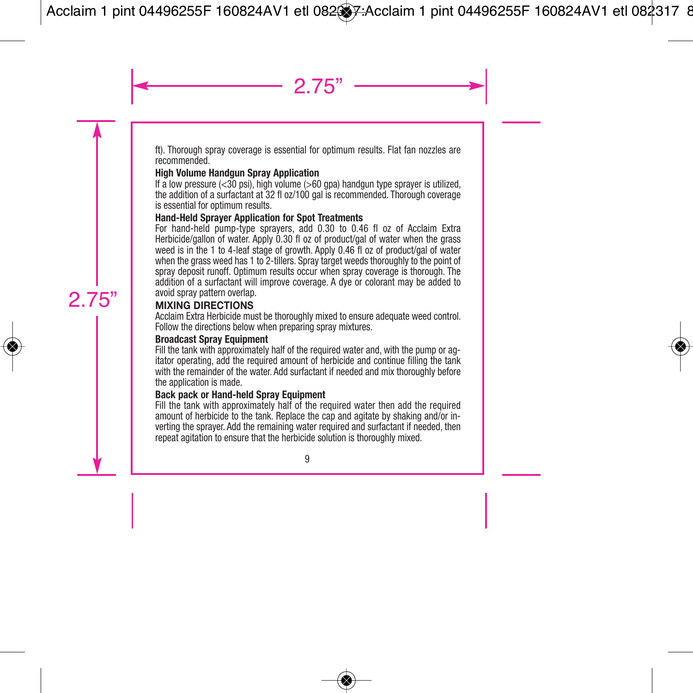ft). Thorough spray coverage is essential for optimum results. Flat fan nozzles are recommended.

#### **High Volume Handgun Spray Application**

If a low pressure  $( $30 \text{ psi}$ ), high volume  $(>60 \text{ gpa})$  handgun type sprayer is utilized,$ the addition of a surfactant at 32 fl oz/100 gal is recommended. Thorough coverage is essential for optimum results.

## **Hand-Held Sprayer Application for Spot Treatments**

For hand-held pump-type sprayers, add 0.30 to 0.46 fl oz of Acclaim Extra Herbicide/gallon of water. Apply 0.30 fl oz of product/gal of water when the grass weed is in the 1 to 4-leaf stage of growth. Apply 0.46 fl oz of product/gal of water when the grass weed has 1 to 2-tillers. Spray target weeds thoroughly to the point of spray deposit runoff. Optimum results occur when spray coverage is thorough. The addition of a surfactant will improve coverage. A dye or colorant may be added to avoid spray pattern overlap.

## **MIXING DIRECTIONS**

Acclaim Extra Herbicide must be thoroughly mixed to ensure adequate weed control. Follow the directions below when preparing spray mixtures.

#### **Broadcast Spray Equipment**

Fill the tank with approximately half of the required water and, with the pump or agitator operating, add the required amount of herbicide and continue filling the tank with the remainder of the water. Add surfactant if needed and mix thoroughly before the application is made.

#### **Back pack or Hand-held Spray Equipment**

Fill the tank with approximately half of the required water then add the required amount of herbicide to the tank. Replace the cap and agitate by shaking and/or inverting the sprayer. Add the remaining water required and surfactant if needed, then repeat agitation to ensure that the herbicide solution is thoroughly mixed.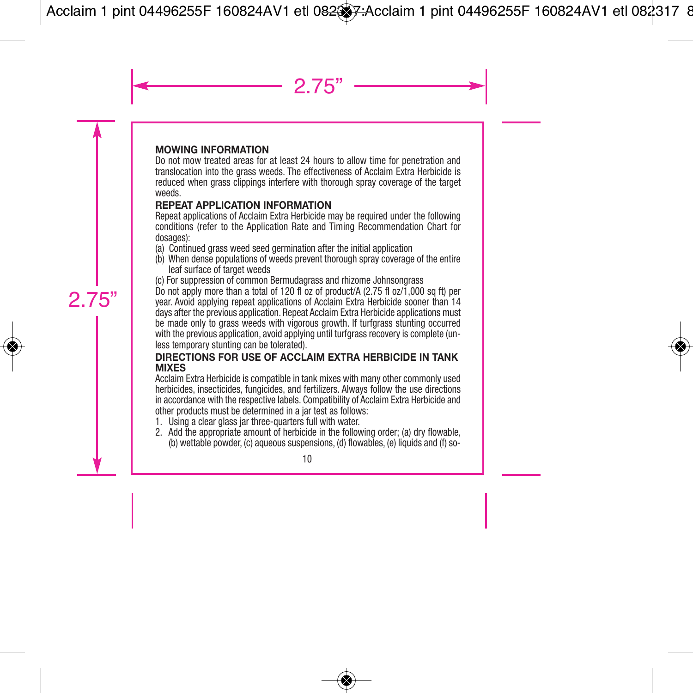### **MOWING INFORMATION**

Do not mow treated areas for at least 24 hours to allow time for penetration and translocation into the grass weeds. The effectiveness of Acclaim Extra Herbicide is reduced when grass clippings interfere with thorough spray coverage of the target weeds.

#### **REPEAT APPLICATION INFORMATION**

Repeat applications of Acclaim Extra Herbicide may be required under the following conditions (refer to the Application Rate and Timing Recommendation Chart for dosages):

- (a) Continued grass weed seed germination after the initial application
- (b) When dense populations of weeds prevent thorough spray coverage of the entire leaf surface of target weeds
- (c) For suppression of common Bermudagrass and rhizome Johnsongrass

Do not apply more than a total of 120 fl oz of product/A (2.75 fl oz/1,000 sq ft) per year. Avoid applying repeat applications of Acclaim Extra Herbicide sooner than 14 days after the previous application. Repeat Acclaim Extra Herbicide applications must be made only to grass weeds with vigorous growth. If turfgrass stunting occurred with the previous application, avoid applying until turfgrass recovery is complete (unless temporary stunting can be tolerated).

#### **DIRECTIONS FOR USE OF ACCLAIM EXTRA HERBICIDE IN TANK MIXES**

Acclaim Extra Herbicide is compatible in tank mixes with many other commonly used herbicides, insecticides, fungicides, and fertilizers. Always follow the use directions in accordance with the respective labels. Compatibility of Acclaim Extra Herbicide and other products must be determined in a jar test as follows:

- 1. Using a clear glass jar three-quarters full with water.
- 2. Add the appropriate amount of herbicide in the following order; (a) dry flowable, (b) wettable powder, (c) aqueous suspensions, (d) flowables, (e) liquids and (f) so-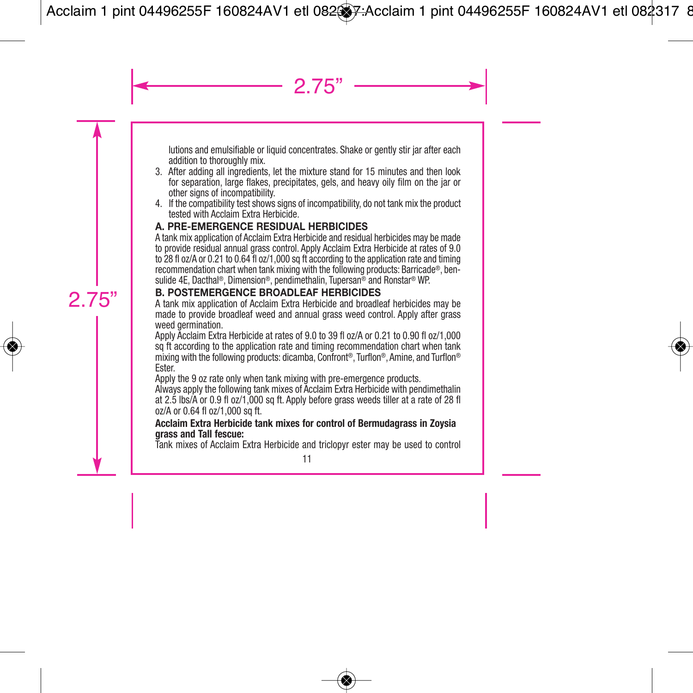lutions and emulsifiable or liquid concentrates. Shake or gently stir jar after each addition to thoroughly mix.

- 3. After adding all ingredients, let the mixture stand for 15 minutes and then look for separation, large flakes, precipitates, gels, and heavy oily film on the jar or other signs of incompatibility.
- 4. If the compatibility test shows signs of incompatibility, do not tank mix the product tested with Acclaim Extra Herbicide.

## **A. PRE-EMERGENCE RESIDUAL HERBICIDES**

A tank mix application of Acclaim Extra Herbicide and residual herbicides may be made to provide residual annual grass control. Apply Acclaim Extra Herbicide at rates of 9.0 to 28 fl oz/A or 0.21 to 0.64 fl oz/1,000 sq ft according to the application rate and timing recommendation chart when tank mixing with the following products: Barricade®, bensulide 4E, Dacthal ®, Dimension®, pendimethalin, Tupersan® and Ronstar® WP.

## **B. POSTEMERGENCE BROADLEAF HERBICIDES**

A tank mix application of Acclaim Extra Herbicide and broadleaf herbicides may be made to provide broadleaf weed and annual grass weed control. Apply after grass weed germination.

Apply Acclaim Extra Herbicide at rates of 9.0 to 39 fl oz/A or 0.21 to 0.90 fl oz/1,000 sq ft according to the application rate and timing recommendation chart when tank mixing with the following products: dicamba, Confront ®, Turflon®, Amine, and Turflon® Ester.

Apply the 9 oz rate only when tank mixing with pre-emergence products.

Always apply the following tank mixes of Acclaim Extra Herbicide with pendimethalin at 2.5 lbs/A or 0.9 fl oz/1,000 sq ft. Apply before grass weeds tiller at a rate of 28 fl oz/A or 0.64 fl oz/1,000 sq ft.

#### **Acclaim Extra Herbicide tank mixes for control of Bermudagrass in Zoysia grass and Tall fescue:**

Tank mixes of Acclaim Extra Herbicide and triclopyr ester may be used to control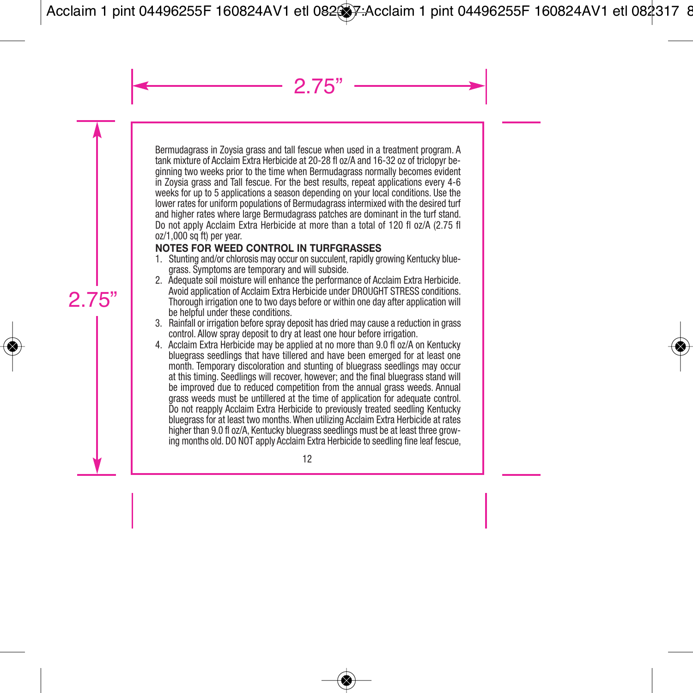Bermudagrass in Zoysia grass and tall fescue when used in a treatment program. A tank mixture of Acclaim Extra Herbicide at 20-28 fl oz/A and 16-32 oz of triclopyr beginning two weeks prior to the time when Bermudagrass normally becomes evident in Zoysia grass and Tall fescue. For the best results, repeat applications every 4-6 weeks for up to 5 applications a season depending on your local conditions. Use the lower rates for uniform populations of Bermudagrass intermixed with the desired turf and higher rates where large Bermudagrass patches are dominant in the turf stand. Do not apply Acclaim Extra Herbicide at more than a total of 120 fl oz/A (2.75 fl oz/1,000 sq ft) per year.

# **NOTES FOR WEED CONTROL IN TURFGRASSES**

- 1. Stunting and/or chlorosis may occur on succulent, rapidly growing Kentucky bluegrass. Symptoms are temporary and will subside.
- 2. Adequate soil moisture will enhance the performance of Acclaim Extra Herbicide. Avoid application of Acclaim Extra Herbicide under DROUGHT STRESS conditions. Thorough irrigation one to two days before or within one day after application will be helpful under these conditions.
- 3. Rainfall or irrigation before spray deposit has dried may cause a reduction in grass control. Allow spray deposit to dry at least one hour before irrigation.
- 4. Acclaim Extra Herbicide may be applied at no more than 9.0 fl oz/A on Kentucky bluegrass seedlings that have tillered and have been emerged for at least one month. Temporary discoloration and stunting of bluegrass seedlings may occur at this timing. Seedlings will recover, however; and the final bluegrass stand will be improved due to reduced competition from the annual grass weeds. Annual grass weeds must be untillered at the time of application for adequate control. Do not reapply Acclaim Extra Herbicide to previously treated seedling Kentucky bluegrass for at least two months.When utilizing Acclaim Extra Herbicide at rates higher than 9.0 fl oz/A. Kentucky bluegrass seedlings must be at least three growing months old. DO NOT apply Acclaim Extra Herbicide to seedling fine leaf fescue,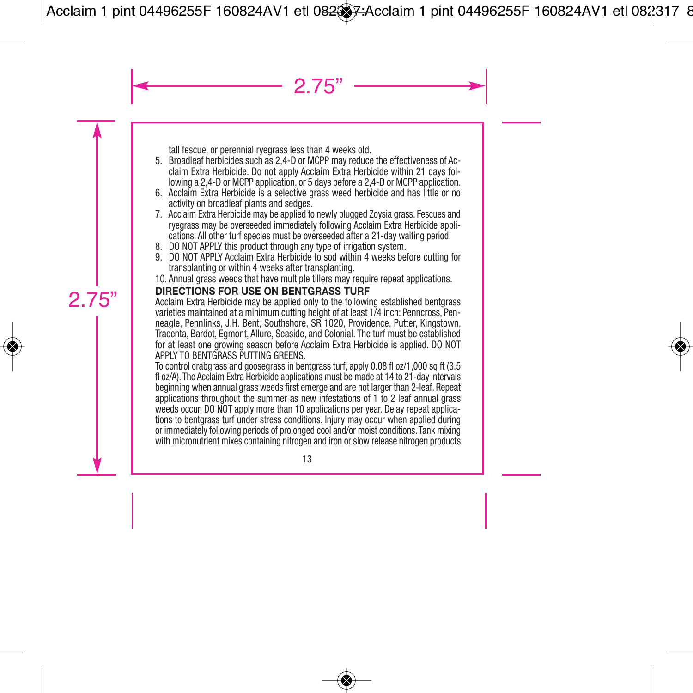tall fescue, or perennial ryegrass less than 4 weeks old.

- 5. Broadleaf herbicides such as 2,4-D or MCPP may reduce the effectiveness of Acclaim Extra Herbicide. Do not apply Acclaim Extra Herbicide within 21 days fol lowing a 2,4-D or MCPP application, or 5 days before a 2,4-D or MCPP application.
- 6. Acclaim Extra Herbicide is a selective grass weed herbicide and has little or no activity on broadleaf plants and sedges.
- 7. Acclaim Extra Herbicide may be applied to newly plugged Zoysia grass. Fescues and ryegrass may be overseeded immediately following Acclaim Extra Herbicide applications. All other turf species must be overseeded after a 21-day waiting period.
- 8. DO NOT APPLY this product through any type of irrigation system.
- 9. DO NOT APPLY Acclaim Extra Herbicide to sod within 4 weeks before cutting for transplanting or within 4 weeks after transplanting.
- 10. Annual grass weeds that have multiple tillers may require repeat applications.

## **DIRECTIONS FOR USE ON BENTGRASS TURF**

Acclaim Extra Herbicide may be applied only to the following established bentgrass varieties maintained at a minimum cutting height of at least 1/4 inch: Penncross, Penneagle, Pennlinks, J.H. Bent, Southshore, SR 1020, Providence, Putter, Kingstown, Tracenta, Bardot, Egmont, Allure, Seaside, and Colonial. The turf must be established for at least one growing season before Acclaim Extra Herbicide is applied. DO NOT APPLY TO BENTGRASS PUTTING GREENS.

To control crabgrass and goosegrass in bentgrass turf, apply 0.08 fl oz/1,000 sq ft (3.5 fl oz/A). The Acclaim Extra Herbicide applications must be made at 14 to 21-day intervals beginning when annual grass weeds first emerge and are not larger than 2-leaf. Repeat applications throughout the summer as new infestations of 1 to 2 leaf annual grass weeds occur. DO NOT apply more than 10 applications per year. Delay repeat applications to bentgrass turf under stress conditions. Injury may occur when applied during or immediately following periods of prolonged cool and/or moist conditions. Tank mixing with micronutrient mixes containing nitrogen and iron or slow release nitrogen products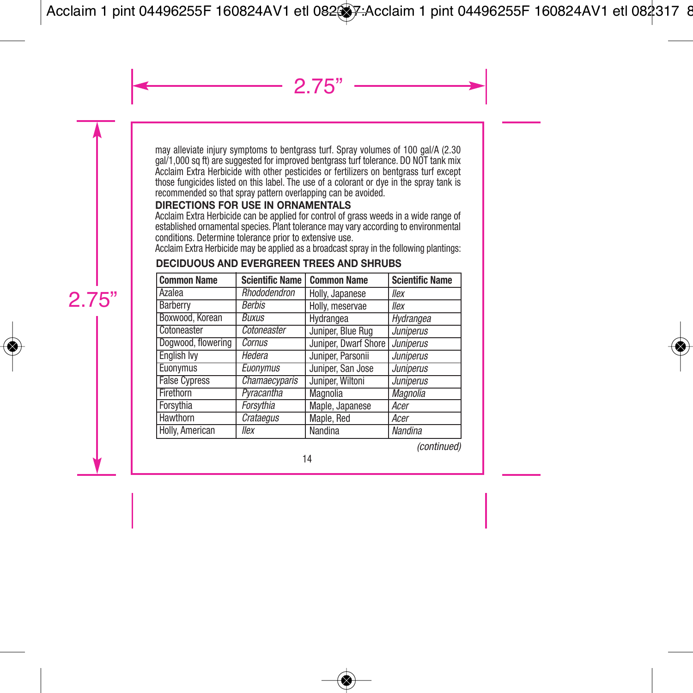may alleviate injury symptoms to bentgrass turf. Spray volumes of 100 gal/A (2.30 gal/1,000 sq ft) are suggested for improved bentgrass turf tolerance. DO NOT tank mix Acclaim Extra Herbicide with other pesticides or fertilizers on bentgrass turf except those fungicides listed on this label. The use of a colorant or dye in the spray tank is recommended so that spray pattern overlapping can be avoided.

## **DIRECTIONS FOR USE IN ORNAMENTALS**

Acclaim Extra Herbicide can be applied for control of grass weeds in a wide range of established ornamental species. Plant tolerance may vary according to environmental conditions. Determine tolerance prior to extensive use.

Acclaim Extra Herbicide may be applied as a broadcast spray in the following plantings:

| <b>Common Name</b>   | <b>Scientific Name</b> | <b>Common Name</b>   | <b>Scientific Name</b> |
|----------------------|------------------------|----------------------|------------------------|
| Azalea               | Rhododendron           | Holly, Japanese      | llex                   |
| Barberry             | <b>Berbis</b>          | Holly, meservae      | llex                   |
| Boxwood, Korean      | Buxus                  | Hydrangea            | Hydrangea              |
| Cotoneaster          | Cotoneaster            | Juniper, Blue Rug    | <b>Juniperus</b>       |
| Dogwood, flowering   | Cornus                 | Juniper, Dwarf Shore | Juniperus              |
| <b>English Ivv</b>   | Hedera                 | Juniper, Parsonii    | <b>Juniperus</b>       |
| Euonymus             | Euonvmus               | Juniper, San Jose    | <b>Juniperus</b>       |
| <b>False Cypress</b> | <b>Chamaecyparis</b>   | Juniper, Wiltoni     | <b>Juniperus</b>       |
| Firethorn            | Pyracantha             | Magnolia             | Magnolia               |
| Forsythia            | Forsythia              | Maple, Japanese      | Acer                   |
| Hawthorn             | Crataegus              | Maple, Red           | Acer                   |
| Holly, American      | llex                   | Nandina              | Nandina                |

# **DECIDUOUS AND EVERGREEN TREES AND SHRUBS**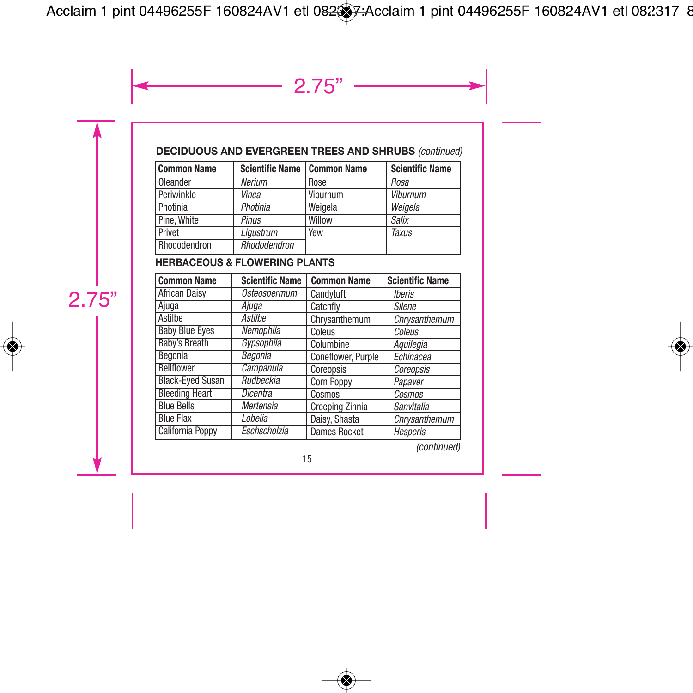# **DECIDUOUS AND EVERGREEN TREES AND SHRUBS** *(continued)*

| Common Name  | Scientific Name   Common Name |            | <b>Scientific Name</b> |
|--------------|-------------------------------|------------|------------------------|
| Oleander     | Nerium                        | Rose       | Rosa                   |
| Periwinkle   | Vinca                         | Viburnum   | Viburnum               |
| Photinia     | Photinia                      | Weigela    | Weigela                |
| Pine. White  | Pinus                         | Willow     | <b>Salix</b>           |
| Privet       | Liaustrum                     | <b>Yew</b> | <b>Taxus</b>           |
| Rhododendron | <b>Rhododendron</b>           |            |                        |

## **HERBACEOUS & FLOWERING PLANTS**

| <b>Common Name</b>      | <b>Scientific Name</b> | <b>Common Name</b>  | <b>Scientific Name</b> |
|-------------------------|------------------------|---------------------|------------------------|
| <b>African Daisy</b>    | <b>Osteospermum</b>    | Candvtuft           | <b>Iberis</b>          |
| Ajuga                   | Ajuga                  | Catchfly            | <b>Silene</b>          |
| Astilbe                 | Astilbe                | Chrysanthemum       | Chrysanthemum          |
| <b>Baby Blue Eyes</b>   | Nemophila              | Coleus              | Coleus                 |
| Baby's Breath           | Gypsophila             | Columbine           | Aquilegia              |
| Begonia                 | Begonia                | Coneflower, Purple  | Echinacea              |
| <b>Bellflower</b>       | Campanula              | Coreopsis           | Coreopsis              |
| <b>Black-Eved Susan</b> | <b>Rudbeckia</b>       | Corn Poppy          | Papaver                |
| <b>Bleeding Heart</b>   | Dicentra               | Cosmos              | Cosmos                 |
| <b>Blue Bells</b>       | Mertensia              | Creeping Zinnia     | Sanvitalia             |
| <b>Blue Flax</b>        | Lobelia                | Daisy, Shasta       | Chrysanthemum          |
| <b>California Poppy</b> | Eschscholzia           | <b>Dames Rocket</b> | Hesperis               |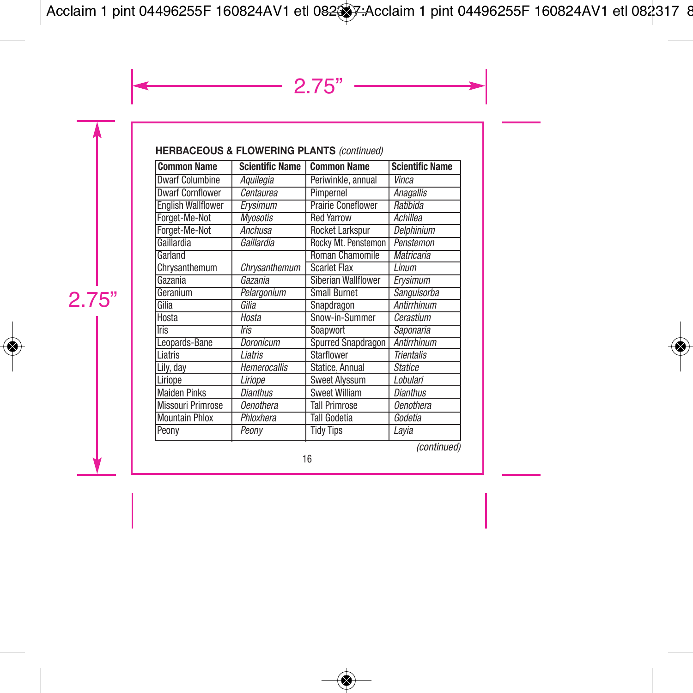# **HERBACEOUS & FLOWERING PLANTS** *(continued)*

| <b>Common Name</b>        | <b>Scientific Name</b> | <b>Common Name</b>        | <b>Scientific Name</b>   |
|---------------------------|------------------------|---------------------------|--------------------------|
| <b>Dwarf Columbine</b>    | Aquilegia              | Periwinkle, annual        | Vinca                    |
| <b>Dwarf Cornflower</b>   | Centaurea              | Pimpernel                 | Anagallis                |
| <b>English Wallflower</b> | Ervsimum               | <b>Prairie Coneflower</b> | Ratibida                 |
| Forget-Me-Not             | <b>Mvosotis</b>        | <b>Red Yarrow</b>         | Achillea                 |
| Forget-Me-Not             | Anchusa                | <b>Rocket Larkspur</b>    | Delphinium               |
| Gaillardia                | Gaillardia             | Rocky Mt. Penstemon       | Penstemon                |
| Garland                   |                        | <b>Roman Chamomile</b>    | <b>Matricaria</b>        |
| Chrysanthemum             | Chrysanthemum          | <b>Scarlet Flax</b>       | Linum                    |
| Gazania                   | Gazania                | Siberian Wallflower       | Ervsimum                 |
| Geranium                  | Pelargonium            | <b>Small Burnet</b>       | Sanguisorba              |
| Gilia                     | Gilia                  | Snapdragon                | <b>Antirrhinum</b>       |
| Hosta                     | Hosta                  | Snow-in-Summer            | Cerastium                |
| <b>Tris</b>               | <b>Iris</b>            | Soapwort                  | Saponaria                |
| Leopards-Bane             | Doronicum              | Spurred Snapdragon        | Antirrhinum              |
| Liatris                   | Liatris                | Starflower                | <b>Trientalis</b>        |
| Lily, day                 | <b>Hemerocallis</b>    | Statice, Annual           | <b>Statice</b>           |
| Liriope                   | Liriope                | <b>Sweet Alvssum</b>      | Lobulari                 |
| <b>Maiden Pinks</b>       | <b>Dianthus</b>        | <b>Sweet William</b>      | <b>Dianthus</b>          |
| <b>Missouri Primrose</b>  | <b>Oenothera</b>       | <b>Tall Primrose</b>      | <b>Oenothera</b>         |
| <b>Mountain Phlox</b>     | Phloxhera              | Tall Godetia              | Godetia                  |
| Peony                     | Peony                  | <b>Tidy Tips</b>          | Lavia<br>$\cdot$ $\cdot$ |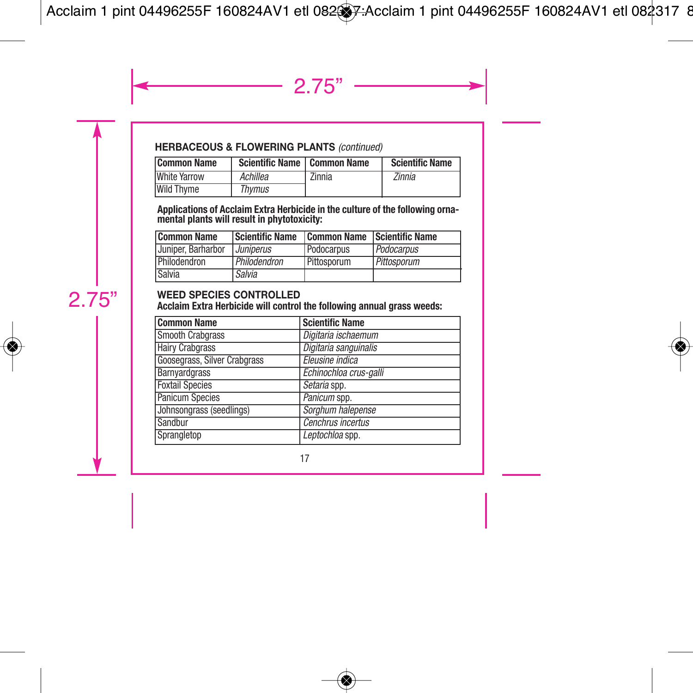## **HERBACEOUS & FLOWERING PLANTS** *(continued)*

| <b>Common Name</b>  | Scientific Name   Common Name |        | <b>Scientific Name</b> |
|---------------------|-------------------------------|--------|------------------------|
| <b>White Yarrow</b> | Achillea                      | Zinnia | Zinnia                 |
| Wild Thyme          | Thvmus                        |        |                        |

Applications of Acclaim Extra Herbicide in the culture of the following orna-<br>mental plants will result in phytotoxicity:

| <b>Common Name</b> | Scientific Name                | Common Name Scientific Name |             |
|--------------------|--------------------------------|-----------------------------|-------------|
| Uuniper. Barharbor | <i><u><b>Juniperus</b></u></i> | Podocarpus                  | Podocarpus  |
| Philodendron       | Philodendron                   | Pittosporum                 | Pittosporum |
| Salvia             | Salvia                         |                             |             |

#### **WEED SPECIES CONTROLLED**

**Acclaim Extra Herbicide will control the following annual grass weeds:**

| <b>Common Name</b>           | <b>Scientific Name</b> |
|------------------------------|------------------------|
| <b>Smooth Crabgrass</b>      | Digitaria ischaemum    |
| <b>Hairy Crabgrass</b>       | Digitaria sanguinalis  |
| Goosegrass, Silver Crabgrass | Eleusine indica        |
| Barnvardgrass                | Echinochloa crus-galli |
| <b>Foxtail Species</b>       | Setaria spp.           |
| <b>Panicum Species</b>       | Panicum spp.           |
| Johnsongrass (seedlings)     | Sorghum halepense      |
| Sandbur                      | Cenchrus incertus      |
| Sprangletop                  | Leptochloa spp.        |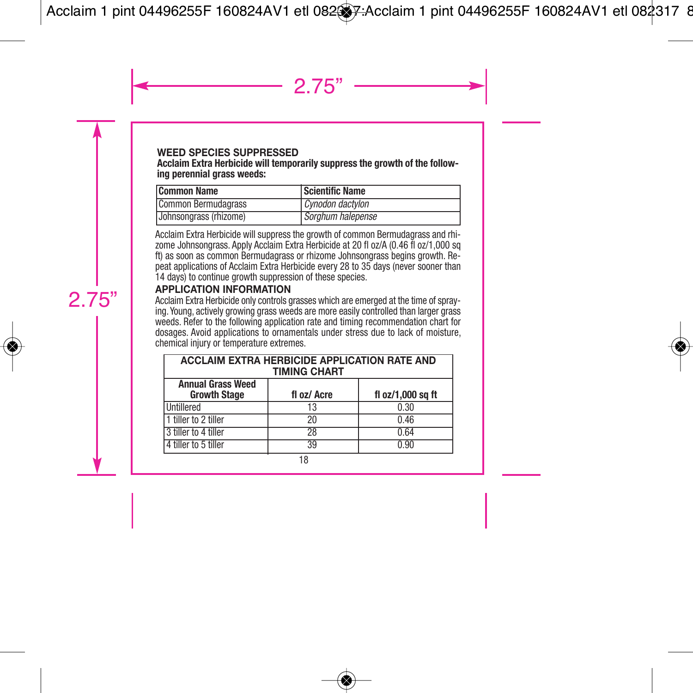#### **WEED SPECIES SUPPRESSED**

#### **Acclaim Extra Herbicide will temporarily suppress the growth of the following perennial grass weeds:**

| Common Name                   | Scientific Name   |
|-------------------------------|-------------------|
| Common Bermudagrass           | Cynodon dactylon  |
| <b>Johnsongrass (rhizome)</b> | Sorghum halepense |

Acclaim Extra Herbicide will suppress the growth of common Bermudagrass and rhizome Johnsongrass. Apply Acclaim Extra Herbicide at 20 fl oz/A (0.46 fl oz/1,000 sq ft) as soon as common Bermudagrass or rhizome Johnsongrass begins growth. Repeat applications of Acclaim Extra Herbicide every 28 to 35 days (never sooner than 14 days) to continue growth suppression of these species.

## **APPLICATION INFORMATION**

Acclaim Extra Herbicide only controls grasses which are emerged at the time of spraying. Young, actively growing grass weeds are more easily controlled than larger grass weeds. Refer to the following application rate and timing recommendation chart for dosages. Avoid applications to ornamentals under stress due to lack of moisture, chemical injury or temperature extremes.

| <b>ACCLAIM EXTRA HERBICIDE APPLICATION RATE AND</b><br><b>TIMING CHART</b> |             |                   |  |
|----------------------------------------------------------------------------|-------------|-------------------|--|
| <b>Annual Grass Weed</b><br><b>Growth Stage</b>                            | fl oz/ Acre | fl oz/1,000 sq ft |  |
| Untillered                                                                 | 13          | 0.30              |  |
| 1 tiller to 2 tiller                                                       | 20          | 0.46              |  |
| 3 tiller to 4 tiller                                                       | 28          | 0.64              |  |
| 4 tiller to 5 tiller                                                       | 39          | 0.90              |  |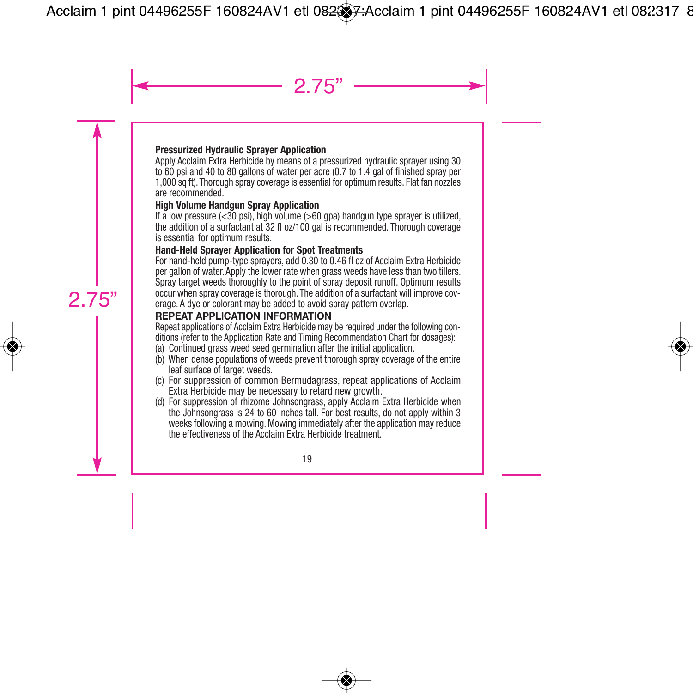#### **Pressurized Hydraulic Sprayer Application**

Apply Acclaim Extra Herbicide by means of a pressurized hydraulic sprayer using 30 to 60 psi and 40 to 80 gallons of water per acre (0.7 to 1.4 gal of finished spray per 1,000 sq ft). Thorough spray coverage is essential for optimum results. Flat fan nozzles are recommended.

#### **High Volume Handgun Spray Application**

If a low pressure  $( $30 \text{ psi}$ ), high volume  $( $60 \text{ gra}$ ) handgun type sprayer is utilized,$$ the addition of a surfactant at 32 fl oz/100 gal is recommended. Thorough coverage is essential for optimum results.

#### **Hand-Held Sprayer Application for Spot Treatments**

For hand-held pump-type sprayers, add 0.30 to 0.46 fl oz of Acclaim Extra Herbicide per gallon of water. Apply the lower rate when grass weeds have less than two tillers. Spray target weeds thoroughly to the point of spray deposit runoff. Optimum results occur when spray coverage is thorough. The addition of a surfactant will improve coverage. A dye or colorant may be added to avoid spray pattern overlap.

## **REPEAT APPLICATION INFORMATION**

Repeat applications of Acclaim Extra Herbicide may be required under the following con ditions (refer to the Application Rate and Timing Recommendation Chart for dosages):

- (a) Continued grass weed seed germination after the initial application.
- (b) When dense populations of weeds prevent thorough spray coverage of the entire leaf surface of target weeds.
- (c) For suppression of common Bermudagrass, repeat applications of Acclaim Extra Herbicide may be necessary to retard new growth.
- (d) For suppression of rhizome Johnsongrass, apply Acclaim Extra Herbicide when the Johnsongrass is 24 to 60 inches tall. For best results, do not apply within 3 weeks following a mowing. Mowing immediately after the application may reduce the effectiveness of the Acclaim Extra Herbicide treatment.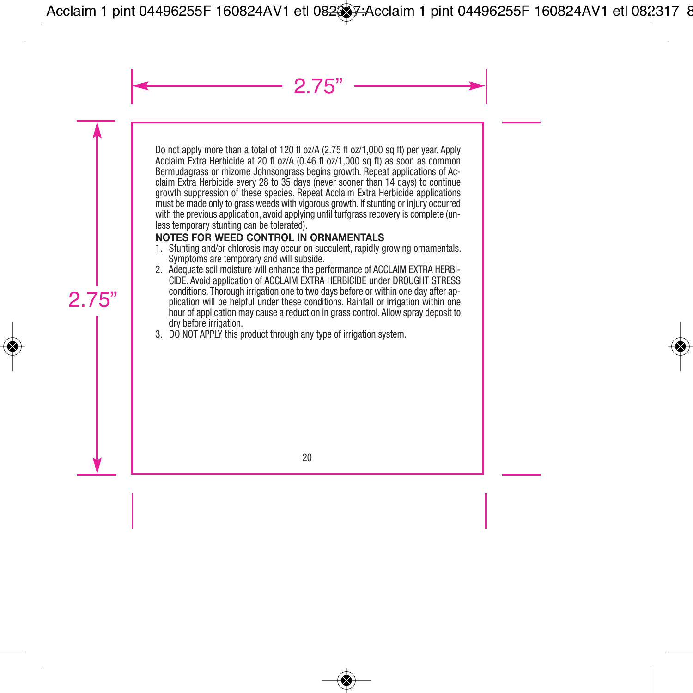Do not apply more than a total of 120 fl oz/A (2.75 fl oz/1,000 sq ft) per year. Apply Acclaim Extra Herbicide at 20 fl oz/A (0.46 fl oz/1,000 sq ft) as soon as common Bermudagrass or rhizome Johnsongrass begins growth. Repeat applications of Acclaim Extra Herbicide every 28 to 35 days (never sooner than 14 days) to continue growth suppression of these species. Repeat Acclaim Extra Herbicide applications must be made only to grass weeds with vigorous growth. If stunting or injury occurred with the previous application, avoid applying until turfgrass recovery is complete (unless temporary stunting can be tolerated).

# **NOTES FOR WEED CONTROL IN ORNAMENTALS**

- 1. Stunting and/or chlorosis may occur on succulent, rapidly growing ornamentals. Symptoms are temporary and will subside.
- 2. Adequate soil moisture will enhance the performance of ACCLAIM EXTRA HERBI-CIDE. Avoid application of ACCLAIM EXTRA HERBICIDE under DROUGHT STRESS conditions. Thorough irrigation one to two days before or within one day after application will be helpful under these conditions. Rainfall or irrigation within one hour of application may cause a reduction in grass control. Allow spray deposit to dry before irrigation.
- 3. DO NOT APPLY this product through any type of irrigation system.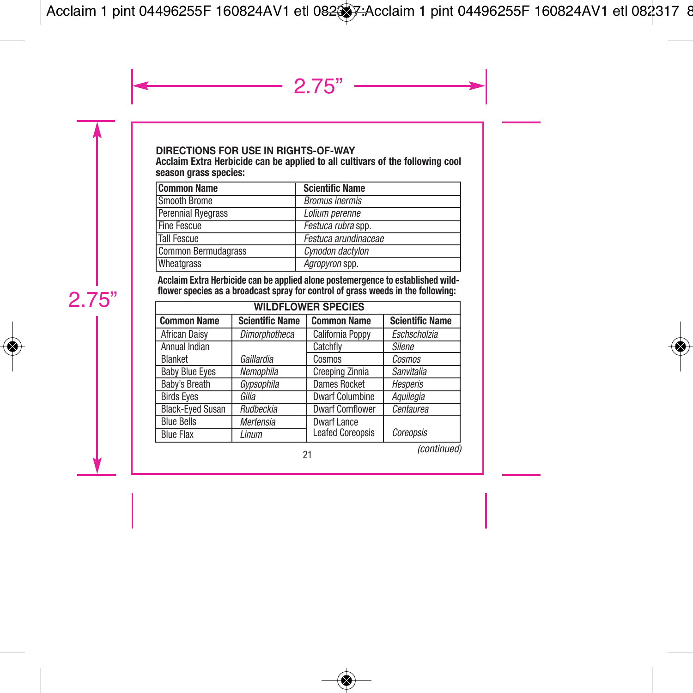#### **DIRECTIONS FOR USE IN RIGHTS-OF-WAY**

Acclaim Extra Herbicide can be applied to all cultivars of the following cool season grass species:

| <b>Common Name</b>  | <b>Scientific Name</b> |
|---------------------|------------------------|
| Smooth Brome        | <b>Bromus inermis</b>  |
| Perennial Ryegrass  | Lolium perenne         |
| <b>Fine Fescue</b>  | Festuca rubra spp.     |
| <b>Tall Fescue</b>  | Festuca arundinaceae   |
| Common Bermudagrass | Cynodon dactylon       |
| Wheatgrass          | Agropyron spp.         |

Acclaim Extra Herbicide can be applied alone postemergence to established wildflower species as a broadcast spray for control of grass weeds in the following:

| <b>WILDFLOWER SPECIES</b> |                        |                         |                        |
|---------------------------|------------------------|-------------------------|------------------------|
| <b>Common Name</b>        | <b>Scientific Name</b> | <b>Common Name</b>      | <b>Scientific Name</b> |
| African Daisy             | <b>Dimorphotheca</b>   | California Poppy        | Eschscholzia           |
| Annual Indian             |                        | Catchfly                | Silene                 |
| Blanket                   | Gaillardia             | Cosmos                  | Cosmos                 |
| <b>Baby Blue Eyes</b>     | Nemophila              | Creeping Zinnia         | Sanvitalia             |
| Baby's Breath             | Gypsophila             | <b>Dames Rocket</b>     | Hesperis               |
| <b>Birds Eves</b>         | Gilia                  | <b>Dwarf Columbine</b>  | Aquilegia              |
| <b>Black-Eyed Susan</b>   | Rudbeckia              | <b>Dwarf Cornflower</b> | Centaurea              |
| <b>Blue Bells</b>         | Mertensia              | <b>Dwarf Lance</b>      |                        |
| <b>Blue Flax</b>          | Linum                  | <b>Leafed Coreopsis</b> | Coreopsis              |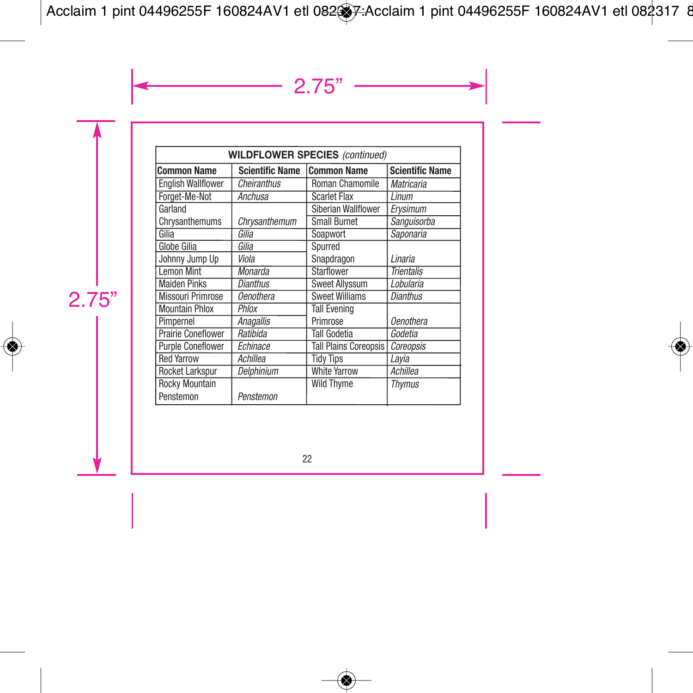| <b>WILDFLOWER SPECIES (continued)</b> |                        |                              |                        |
|---------------------------------------|------------------------|------------------------------|------------------------|
| <b>Common Name</b>                    | <b>Scientific Name</b> | <b>Common Name</b>           | <b>Scientific Name</b> |
| <b>English Wallflower</b>             | Cheiranthus            | Roman Chamomile              | Matricaria             |
| Forget-Me-Not                         | Anchusa                | <b>Scarlet Flax</b>          | Linum                  |
| Garland                               |                        | Siberian Wallflower          | Erysimum               |
| Chrysanthemums                        | Chrysanthemum          | <b>Small Burnet</b>          | Sanguisorba            |
| Gilia                                 | Gilia                  | Soapwort                     | Saponaria              |
| <b>Globe Gilia</b>                    | Gilia                  | Spurred                      |                        |
| Johnny Jump Up                        | Viola                  | Snapdragon                   | Linaria                |
| <b>Lemon Mint</b>                     | Monarda                | <b>Starflower</b>            | <b>Trientalis</b>      |
| <b>Maiden Pinks</b>                   | <b>Dianthus</b>        | <b>Sweet Allyssum</b>        | Lobularia              |
| <b>Missouri Primrose</b>              | <b>Oenothera</b>       | <b>Sweet Williams</b>        | <b>Dianthus</b>        |
| <b>Mountain Phlox</b>                 | Phlox                  | <b>Tall Evening</b>          |                        |
| Pimpernel                             | <b>Anagallis</b>       | Primrose                     | <b>Oenothera</b>       |
| <b>Prairie Coneflower</b>             | Ratibida               | Tall Godetia                 | Godetia                |
| <b>Purple Coneflower</b>              | Echinace               | <b>Tall Plains Coreopsis</b> | Coreopsis              |
| <b>Red Yarrow</b>                     | Achillea               | <b>Tidy Tips</b>             | Layia                  |
| Rocket Larkspur                       | Delphinium             | <b>White Yarrow</b>          | Achillea               |
| Rocky Mountain                        |                        | <b>Wild Thyme</b>            | Thvmus                 |
| Penstemon                             | Penstemon              |                              |                        |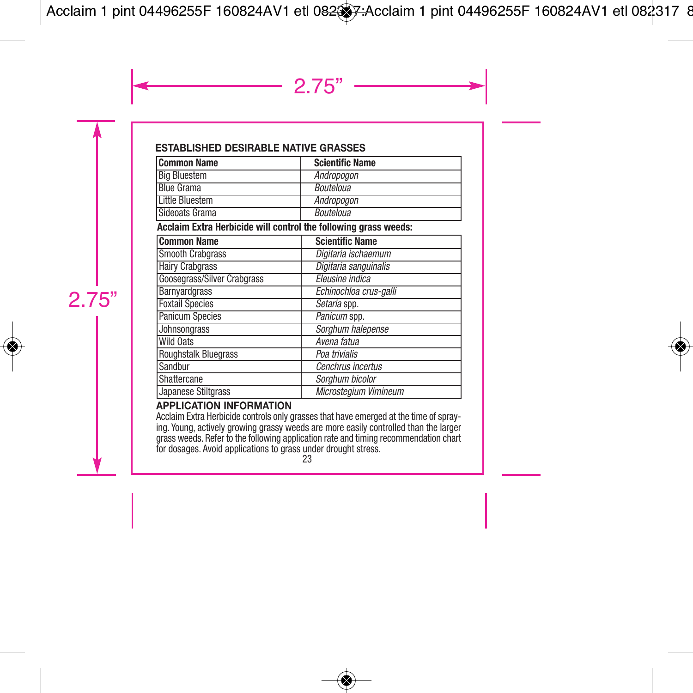#### **ESTABLISHED DESIRABLE NATIVE GRASSES**

| <b>Common Name</b>  | <b>Scientific Name</b> |
|---------------------|------------------------|
| <b>Big Bluestem</b> | Andropogon             |
| <b>Blue Grama</b>   | <b>Bouteloua</b>       |
| Little Bluestem     | Andropogon             |
| Sideoats Grama      | <b>Bouteloua</b>       |

#### **Acclaim Extra Herbicide will control the following grass weeds:**

| <b>Common Name</b>                 | <b>Scientific Name</b> |
|------------------------------------|------------------------|
| <b>Smooth Crabgrass</b>            | Digitaria ischaemum    |
| <b>Hairy Crabgrass</b>             | Digitaria sanguinalis  |
| <b>Goosegrass/Silver Crabgrass</b> | Eleusine indica        |
| Barnyardgrass                      | Echinochloa crus-galli |
| <b>Foxtail Species</b>             | Setaria spp.           |
| <b>Panicum Species</b>             | Panicum spp.           |
| Johnsongrass                       | Sorghum halepense      |
| <b>Wild Oats</b>                   | Avena fatua            |
| <b>Roughstalk Bluegrass</b>        | Poa trivialis          |
| Sandbur                            | Cenchrus incertus      |
| Shattercane                        | Sorghum bicolor        |
| Japanese Stiltgrass                | Microsteaium Vimineum  |

#### **APPLICATION INFORMATION**

Acclaim Extra Herbicide controls only grasses that have emerged at the time of spraying. Young, actively growing grassy weeds are more easily controlled than the larger grass weeds. Refer to the following application rate and timing recommendation chart for dosages. Avoid applications to grass under drought stress.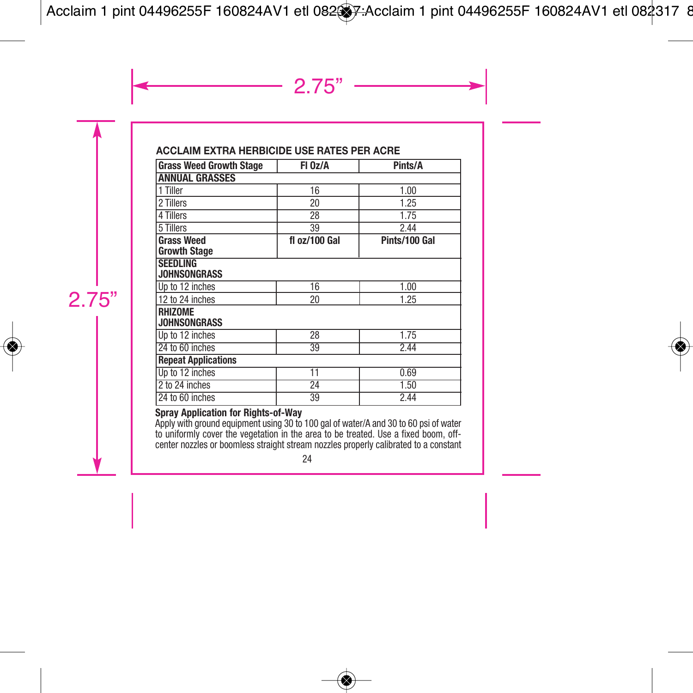# **ACCLAIM EXTRA HERBICIDE USE RATES PER ACRE**

| <b>Grass Weed Growth Stage</b>           | FI 0z/A       | Pints/A       |  |
|------------------------------------------|---------------|---------------|--|
| <b>ANNUAL GRASSES</b>                    |               |               |  |
| 1 Tiller                                 | 16            | 1.00          |  |
| 2 Tillers                                | 20            | 1.25          |  |
| 4 Tillers                                | 28            | 1.75          |  |
| 5 Tillers                                | 39            | 2.44          |  |
| <b>Grass Weed</b><br><b>Growth Stage</b> | fl oz/100 Gal | Pints/100 Gal |  |
| <b>SEEDLING</b><br><b>JOHNSONGRASS</b>   |               |               |  |
| Up to 12 inches                          | 16            | 1.00          |  |
| 12 to 24 inches                          | 20            | 1.25          |  |
| RHIZOME<br><b>JOHNSONGRASS</b>           |               |               |  |
| Up to 12 inches                          | 28            | 1.75          |  |
| 24 to 60 inches                          | 39            | 2.44          |  |
| <b>Repeat Applications</b>               |               |               |  |
| Up to 12 inches                          | 11            | 0.69          |  |
| 2 to 24 inches                           | 24            | 1.50          |  |
| 24 to 60 inches                          | 39            | 2.44          |  |

#### **Spray Application for Rights-of-Way**

Apply with ground equipment using 30 to 100 gal of water/A and 30 to 60 psi of water<br>to uniformly cover the vegetation in the area to be treated. Use a fixed boom, off-<br>center nozzles or boomless straight stream nozzles pr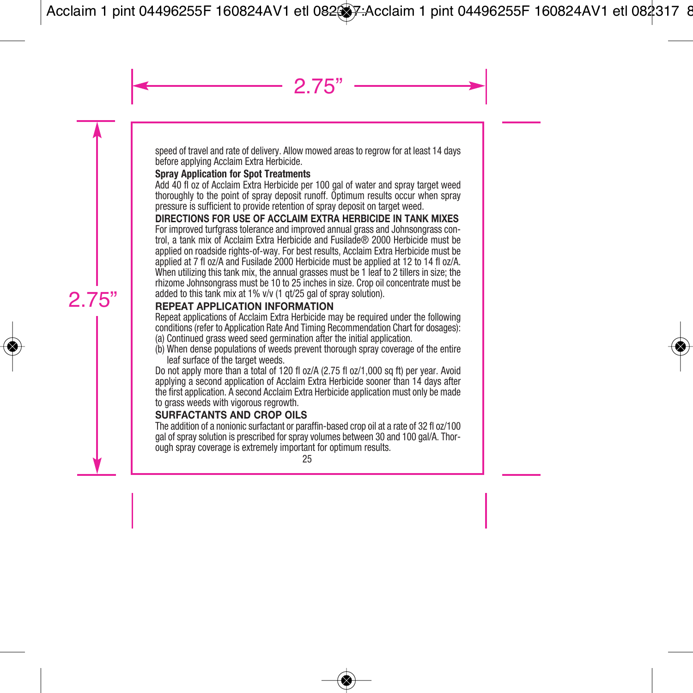speed of travel and rate of delivery. Allow mowed areas to regrow for at least 14 days before applying Acclaim Extra Herbicide.

#### **Spray Application for Spot Treatments**

Add 40 fl oz of Acclaim Extra Herbicide per 100 gal of water and spray target weed thoroughly to the point of spray deposit runoff. Optimum results occur when spray pressure is sufficient to provide retention of spray deposit on target weed.

#### **DIRECTIONS FOR USE OF ACCLAIM EXTRA HERBICIDE IN TANK MIXES**

For improved turfgrass tolerance and improved annual grass and Johnsongrass control, a tank mix of Acclaim Extra Herbicide and Fusilade® 2000 Herbicide must be applied on roadside rights-of-way. For best results, Acclaim Extra Herbicide must be applied at 7 fl oz/A and Fusilade 2000 Herbicide must be applied at 12 to 14 fl oz/A. When utilizing this tank mix, the annual grasses must be 1 leaf to 2 tillers in size; the rhizome Johnsongrass must be 10 to 25 inches in size. Crop oil concentrate must be added to this tank mix at 1% v/v (1 qt/25 gal of spray solution).

## **REPEAT APPLICATION INFORMATION**

Repeat applications of Acclaim Extra Herbicide may be required under the following conditions (refer to Application Rate And Timing Recommendation Chart for dosages): (a) Continued grass weed seed germination after the initial application.

(b) When dense populations of weeds prevent thorough spray coverage of the entire leaf surface of the target weeds.

Do not apply more than a total of 120 fl oz/A (2.75 fl oz/1,000 sq ft) per year. Avoid applying a second application of Acclaim Extra Herbicide sooner than 14 days after the first application. A second Acclaim Extra Herbicide application must only be made to grass weeds with vigorous regrowth.

# **SURFACTANTS AND CROP OILS**

The addition of a nonionic surfactant or paraffin-based crop oil at a rate of 32 fl oz/100 gal of spray solution is prescribed for spray volumes between 30 and 100 gal/A. Thorough spray coverage is extremely important for optimum results.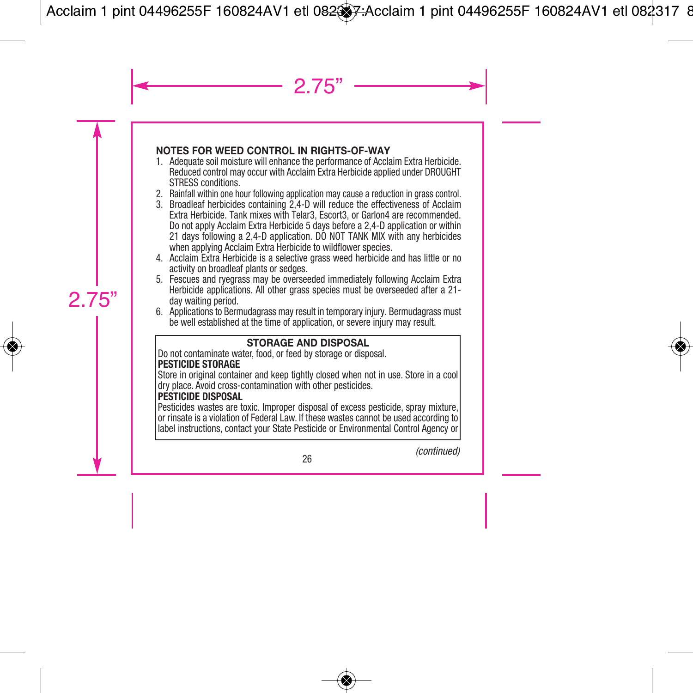# **NOTES FOR WEED CONTROL IN RIGHTS-OF-WAY**

- 1. Adequate soil moisture will enhance the performance of Acclaim Extra Herbicide. Reduced control may occur with Acclaim Extra Herbicide applied under DROUGHT STRESS conditions.
- 2. Rainfall within one hour following application may cause a reduction in grass control.
- 3. Broadleaf herbicides containing 2,4-D will reduce the effectiveness of Acclaim Extra Herbicide. Tank mixes with Telar3, Escort3, or Garlon4 are recommended. Do not apply Acclaim Extra Herbicide 5 days before a 2,4-D application or within 21 days following a 2.4-D application. DO NOT TANK MIX with any herbicides when applying Acclaim Extra Herbicide to wildflower species.
- 4. Acclaim Extra Herbicide is a selective grass weed herbicide and has little or no activity on broadleaf plants or sedges.
- 5. Fescues and ryegrass may be overseeded immediately following Acclaim Extra Herbicide applications. All other grass species must be overseeded after a 21 day waiting period.
- 6. Applications to Bermudagrass may result in temporary injury. Bermudagrass must be well established at the time of application, or severe injury may result.

## **STORAGE AND DISPOSAL**

Do not contaminate water, food, or feed by storage or disposal. **PESTICIDE STORAGE**

Store in original container and keep tightly closed when not in use. Store in a cool dry place. Avoid cross-contamination with other pesticides.

#### **PESTICIDE DISPOSAL**

Pesticides wastes are toxic. Improper disposal of excess pesticide, spray mixture, or rinsate is a violation of Federal Law. If these wastes cannot be used according to label instructions, contact your State Pesticide or Environmental Control Agency or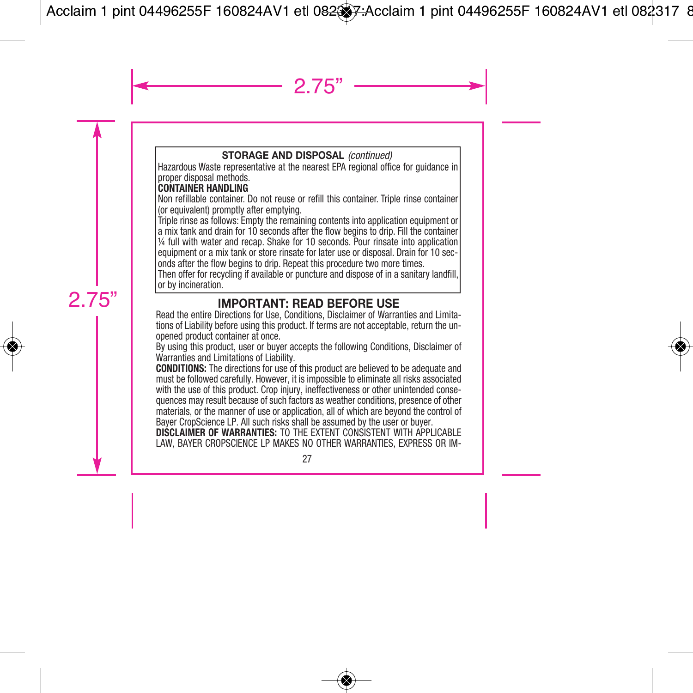## **STORAGE AND DISPOSAL** *(continued)*

Hazardous Waste representative at the nearest EPA regional office for guidance in proper disposal methods.

## **CONTAINER HANDLING**

Non refillable container. Do not reuse or refill this container. Triple rinse container (or equivalent) promptly after emptying.

Triple rinse as follows: Empty the remaining contents into application equipment or a mix tank and drain for 10 seconds after the flow begins to drip. Fill the container ¼ full with water and recap. Shake for 10 seconds. Pour rinsate into application equipment or a mix tank or store rinsate for later use or disposal. Drain for 10 seconds after the flow begins to drip. Repeat this procedure two more times.

Then offer for recycling if available or puncture and dispose of in a sanitary landfill, or by incineration.

**IMPORTANT: <b>READ BEFORE** USE<br>**Read the entire Directions for Use, Conditions, Disclaimer of Warranties and Limita**tions of Liability before using this product. If terms are not acceptable, return the unopened product container at once.

By using this product, user or buyer accepts the following Conditions, Disclaimer of Warranties and Limitations of Liability.

**CONDITIONS:** The directions for use of this product are believed to be adequate and must be followed carefully. However, it is impossible to eliminate all risks associated with the use of this product. Crop injury, ineffectiveness or other unintended consequences may result because of such factors as weather conditions, presence of other materials, or the manner of use or application, all of which are beyond the control of Bayer CropScience LP. All such risks shall be assumed by the user or buyer.

**DISCLAIMER OF WARRANTIES:** TO THE EXTENT CONSISTENT WITH APPLICABLE LAW, BAYER CROPSCIENCE LP MAKES NO OTHER WARRANTIES, EXPRESS OR IM-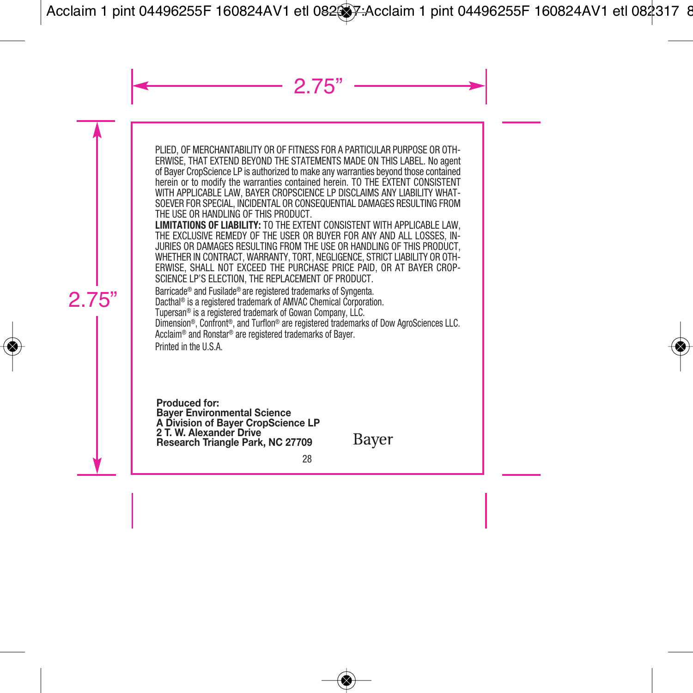PLIED, OF MERCHANTABILITY OR OF FITNESS FOR A PARTICULAR PURPOSE OR OTH-ERWISE, THAT EXTEND BEYOND THE STATEMENTS MADE ON THIS LABEL. No agent of Bayer CropScience LP is authorized to make any warranties beyond those contained herein or to modify the warranties contained herein. TO THE EXTENT CONSISTENT WITH APPLICABLE LAW, BAYER CROPSCIENCE LP DISCLAIMS ANY LIABILITY WHAT-SOEVER FOR SPECIAL, INCIDENTAL OR CONSEQUENTIAL DAMAGES RESULTING FROM THE USE OR HANDLING OF THIS PRODUCT.

**LIMITATIONS OF LIABILITY:** TO THE EXTENT CONSISTENT WITH APPLICABLE LAW, THE EXCLUSIVE REMEDY OF THE USER OR BUYER FOR ANY AND ALL LOSSES, IN-JURIES OR DAMAGES RESULTING FROM THE USE OR HANDLING OF THIS PRODUCT, WHETHER IN CONTRACT, WARRANTY, TORT, NEGLIGENCE, STRICT LIABILITY OR OTH-ERWISE, SHALL NOT EXCEED THE PURCHASE PRICE PAID, OR AT BAYER CROP-SCIENCE LP'S ELECTION, THE REPLACEMENT OF PRODUCT.

Barricade® and Fusilade® are registered trademarks of Syngenta.

Dacthal ® is a registered trademark of AMVAC Chemical Corporation.

Tupersan® is a registered trademark of Gowan Company, LLC.

Dimension®, Confront ®, and Turflon® are registered trademarks of Dow AgroSciences LLC. Acclaim® and Ronstar® are registered trademarks of Bayer.

Printed in the U.S.A.

**Produced for: Bayer Environmental Science A Division of Bayer CropScience LP 2 T. W. Alexander Drive Research Triangle Park, NC 27709**

Bayer